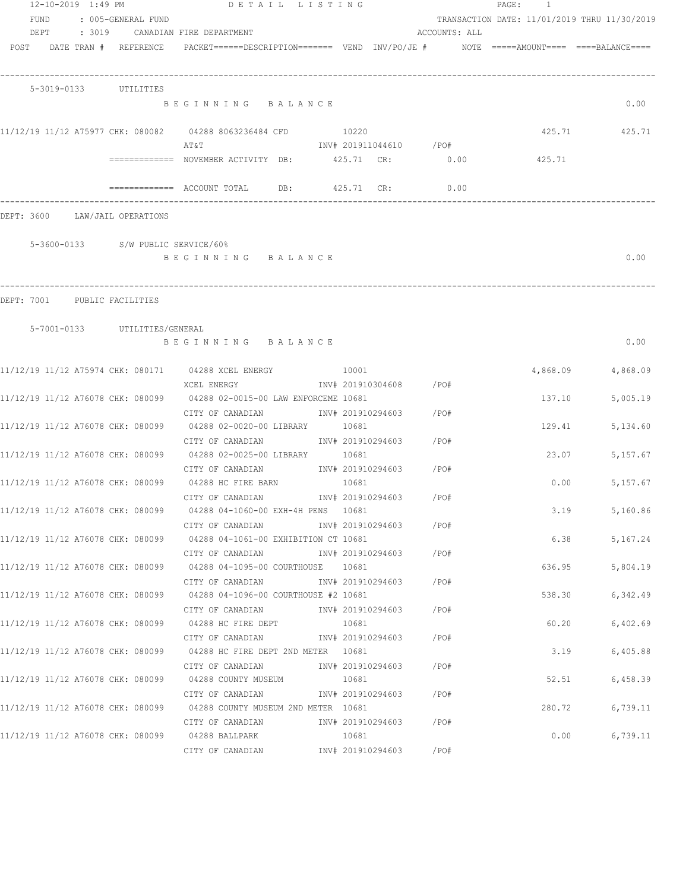| 12-10-2019 1:49 PM<br>FUND<br>DEPT | : 005-GENERAL FUND                 | DETAIL LISTING<br>: 3019 CANADIAN FIRE DEPARTMENT                                                |                                  | ACCOUNTS: ALL | PAGE: 1<br>TRANSACTION DATE: 11/01/2019 THRU 11/30/2019 |                  |
|------------------------------------|------------------------------------|--------------------------------------------------------------------------------------------------|----------------------------------|---------------|---------------------------------------------------------|------------------|
|                                    | POST DATE TRAN # REFERENCE         | $PACKET == == = DESCRIPTION == == == $ VEND $INV/PO/JE$ # $NOTE$ =====AMOUNT==== ====BALANCE==== |                                  |               |                                                         |                  |
|                                    | 5-3019-0133 UTILITIES              |                                                                                                  |                                  |               |                                                         |                  |
|                                    |                                    | BEGINNING BALANCE                                                                                |                                  |               |                                                         | 0.00             |
|                                    |                                    | 11/12/19 11/12 A75977 CHK: 080082 04288 8063236484 CFD<br>ΑΤ&Τ                                   | 10220<br>INV# 201911044610 / PO# |               |                                                         | 425.71 425.71    |
|                                    |                                    | ============ NOVEMBER ACTIVITY DB: 425.71 CR: 0.00                                               |                                  |               | 425.71                                                  |                  |
|                                    |                                    | $=$ ============ ACCOUNT TOTAL DB: $425.71$ CR:                                                  |                                  | 0.00          |                                                         |                  |
|                                    | DEPT: 3600 LAW/JAIL OPERATIONS     |                                                                                                  |                                  |               |                                                         |                  |
|                                    | 5-3600-0133 S/W PUBLIC SERVICE/60% |                                                                                                  |                                  |               |                                                         |                  |
|                                    |                                    | BEGINNING BALANCE                                                                                |                                  |               |                                                         | 0.00             |
|                                    |                                    |                                                                                                  |                                  |               |                                                         |                  |
|                                    | DEPT: 7001 PUBLIC FACILITIES       |                                                                                                  |                                  |               |                                                         |                  |
|                                    | 5-7001-0133 UTILITIES/GENERAL      | BEGINNING BALANCE                                                                                |                                  |               |                                                         | 0.00             |
|                                    |                                    | 11/12/19 11/12 A75974 CHK: 080171 04288 XCEL ENERGY 10001                                        |                                  |               | 4,868.09                                                | 4,868.09         |
|                                    |                                    | XCEL ENERGY<br>11/12/19 11/12 A76078 CHK: 080099 04288 02-0015-00 LAW ENFORCEME 10681            | INV# 201910304608 /PO#           |               | 137.10                                                  | 5,005.19         |
|                                    |                                    | CITY OF CANADIAN<br>11/12/19 11/12 A76078 CHK: 080099 04288 02-0020-00 LIBRARY 10681             | INV# 201910294603 /PO#           |               | 129.41                                                  | 5,134.60         |
|                                    |                                    | CITY OF CANADIAN 1NV# 201910294603 / PO#                                                         |                                  |               |                                                         |                  |
|                                    |                                    | 11/12/19 11/12 A76078 CHK: 080099 04288 02-0025-00 LIBRARY 10681                                 |                                  |               | 23.07                                                   | 5,157.67         |
|                                    |                                    | CITY OF CANADIAN 1NV# 201910294603 / PO#<br>11/12/19 11/12 A76078 CHK: 080099 04288 HC FIRE BARN | 10681                            |               | 0.00                                                    | 5,157.67         |
|                                    |                                    | CITY OF CANADIAN                                                                                 | INV# 201910294603                | /PO#          |                                                         |                  |
|                                    |                                    | 11/12/19 11/12 A76078 CHK: 080099 04288 04-1060-00 EXH-4H PENS 10681                             |                                  |               | 3.19                                                    | 5,160.86         |
|                                    |                                    | CITY OF CANADIAN<br>11/12/19 11/12 A76078 CHK: 080099 04288 04-1061-00 EXHIBITION CT 10681       | INV# 201910294603 /PO#           |               |                                                         | 6.38<br>5,167.24 |
|                                    |                                    | CITY OF CANADIAN                                                                                 | INV# 201910294603 /PO#           |               |                                                         |                  |
|                                    |                                    | 11/12/19 11/12 A76078 CHK: 080099 04288 04-1095-00 COURTHOUSE 10681                              |                                  |               | 636.95                                                  | 5,804.19         |
|                                    |                                    | CITY OF CANADIAN<br>11/12/19 11/12 A76078 CHK: 080099 04288 04-1096-00 COURTHOUSE #2 10681       | INV# 201910294603                | / PO#         | 538.30                                                  | 6,342.49         |
|                                    |                                    | CITY OF CANADIAN                                                                                 | INV# 201910294603                | / PO#         |                                                         |                  |
|                                    |                                    | 11/12/19 11/12 A76078 CHK: 080099 04288 HC FIRE DEPT                                             | 10681                            |               | 60.20                                                   | 6,402.69         |
|                                    |                                    | CITY OF CANADIAN<br>11/12/19 11/12 A76078 CHK: 080099 04288 HC FIRE DEPT 2ND METER 10681         | INV# 201910294603                | /PO#          | 3.19                                                    | 6,405.88         |
|                                    |                                    | CITY OF CANADIAN                                                                                 | INV# 201910294603                | /PO#          |                                                         |                  |
|                                    |                                    | 11/12/19 11/12 A76078 CHK: 080099 04288 COUNTY MUSEUM                                            | 10681                            |               | 52.51                                                   | 6,458.39         |
|                                    |                                    | CITY OF CANADIAN                                                                                 | INV# 201910294603                | /PO#          |                                                         |                  |
|                                    |                                    | 11/12/19 11/12 A76078 CHK: 080099 04288 COUNTY MUSEUM 2ND METER 10681                            |                                  |               | 280.72                                                  | 6,739.11         |
|                                    |                                    | CITY OF CANADIAN<br>11/12/19 11/12 A76078 CHK: 080099 04288 BALLPARK                             | INV# 201910294603<br>10681       | /PO#          | 0.00                                                    | 6,739.11         |
|                                    |                                    | CITY OF CANADIAN                                                                                 | INV# 201910294603                | /PO#          |                                                         |                  |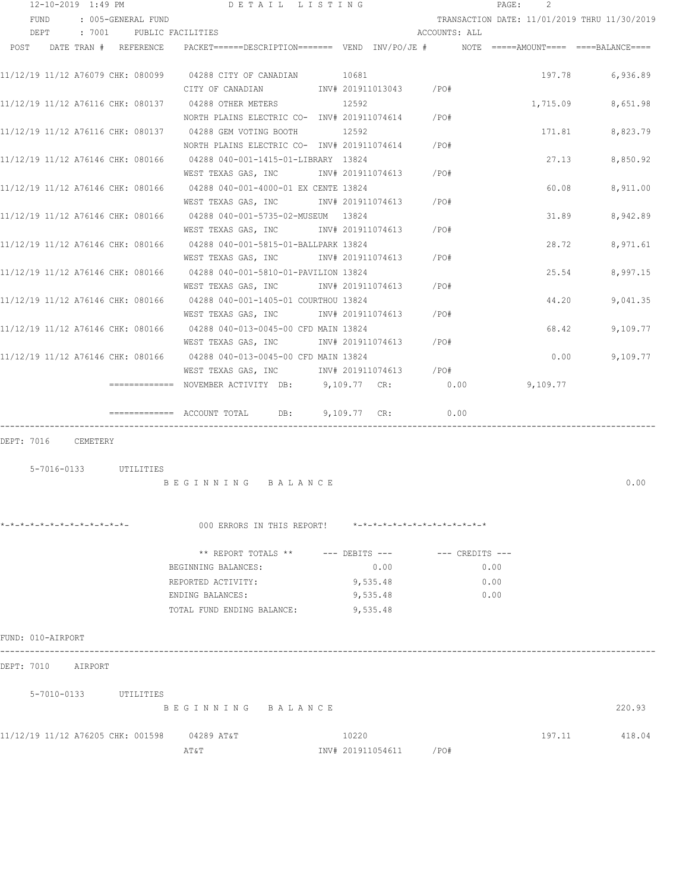|      | 12-10-2019 1:49 PM                |          |                       | DETAIL LISTING                                                                                                    |                            |                        |                               | PAGE: | 2        |                                              |
|------|-----------------------------------|----------|-----------------------|-------------------------------------------------------------------------------------------------------------------|----------------------------|------------------------|-------------------------------|-------|----------|----------------------------------------------|
|      | FUND                              |          | : 005-GENERAL FUND    |                                                                                                                   |                            |                        |                               |       |          | TRANSACTION DATE: 11/01/2019 THRU 11/30/2019 |
|      | DEPT                              | : 7001   |                       | PUBLIC FACILITIES                                                                                                 |                            |                        | ACCOUNTS: ALL                 |       |          |                                              |
| POST |                                   |          | DATE TRAN # REFERENCE | $PACKET == == = DESCRIPTION == == == $ $VEND$ $INV/PO/JE$ $#$ $NOTE$ =====AMOUNT==== ===BALANCE====               |                            |                        |                               |       |          |                                              |
|      |                                   |          |                       | CITY OF CANADIAN                                                                                                  | 10681<br>INV# 201911013043 |                        | /PO#                          |       | 197.78   | 6,936.89                                     |
|      | 11/12/19 11/12 A76116 CHK: 080137 |          |                       | 04288 OTHER METERS<br>NORTH PLAINS ELECTRIC CO- INV# 201911074614                                                 | 12592                      |                        | /PO#                          |       | 1,715.09 | 8,651.98                                     |
|      |                                   |          |                       | 11/12/19 11/12 A76116 CHK: 080137 04288 GEM VOTING BOOTH<br>NORTH PLAINS ELECTRIC CO- INV# 201911074614           | 12592                      |                        | $/$ PO#                       |       | 171.81   | 8,823.79                                     |
|      |                                   |          |                       | 11/12/19 11/12 A76146 CHK: 080166 04288 040-001-1415-01-LIBRARY 13824<br>WEST TEXAS GAS, INC                      | INV# 201911074613          |                        | /PO#                          |       | 27.13    | 8,850.92                                     |
|      |                                   |          |                       | 11/12/19 11/12 A76146 CHK: 080166 04288 040-001-4000-01 EX CENTE 13824<br>WEST TEXAS GAS, INC                     | INV# 201911074613          |                        | /PO#                          |       | 60.08    | 8,911.00                                     |
|      |                                   |          |                       | 11/12/19 11/12 A76146 CHK: 080166 04288 040-001-5735-02-MUSEUM 13824<br>WEST TEXAS GAS, INC                       | INV# 201911074613          |                        | /PO#                          |       | 31.89    | 8,942.89                                     |
|      |                                   |          |                       | 11/12/19 11/12 A76146 CHK: 080166 04288 040-001-5815-01-BALLPARK 13824<br>WEST TEXAS GAS, INC METH 201911074613   |                            |                        | /PO#                          |       | 28.72    | 8,971.61                                     |
|      |                                   |          |                       | 11/12/19 11/12 A76146 CHK: 080166 04288 040-001-5810-01-PAVILION 13824<br>WEST TEXAS GAS, INC MONTH 201911074613  |                            |                        | /PO#                          |       | 25.54    | 8,997.15                                     |
|      |                                   |          |                       | 11/12/19 11/12 A76146 CHK: 080166 04288 040-001-1405-01 COURTHOU 13824<br>WEST TEXAS GAS, INC METALL 201911074613 |                            |                        | /PO#                          |       | 44.20    | 9,041.35                                     |
|      |                                   |          |                       | 11/12/19 11/12 A76146 CHK: 080166 04288 040-013-0045-00 CFD MAIN 13824<br>WEST TEXAS GAS, INC MONTH 201911074613  |                            |                        | $/$ PO#                       |       | 68.42    | 9,109.77                                     |
|      |                                   |          |                       | 11/12/19 11/12 A76146 CHK: 080166 04288 040-013-0045-00 CFD MAIN 13824<br>WEST TEXAS GAS, INC                     |                            | INV# 201911074613 /PO# |                               |       | 0.00     | 9,109.77                                     |
|      |                                   |          |                       | ============= NOVEMBER ACTIVITY DB: 9,109.77 CR:                                                                  |                            |                        | 0.00                          |       | 9,109.77 |                                              |
|      |                                   |          |                       | ============= ACCOUNT TOTAL DB: 9,109.77 CR:                                                                      |                            |                        | 0.00                          |       |          |                                              |
|      | DEPT: 7016                        | CEMETERY |                       |                                                                                                                   |                            |                        |                               |       |          |                                              |
|      | 5-7016-0133 UTILITIES             |          |                       |                                                                                                                   |                            |                        |                               |       |          |                                              |
|      |                                   |          |                       | BEGINNING BALANCE                                                                                                 |                            |                        |                               |       |          | 0.00                                         |
|      | $x-x-x-x-x-x-x-x-x-x-x-x-x-x$     |          |                       | 000 ERRORS IN THIS REPORT!                                                                                        |                            |                        | *-*-*-*-*-*-*-*-*-*-*-*-*-*-* |       |          |                                              |
|      |                                   |          |                       | ** REPORT TOTALS ** --- DEBITS --- -- -- CREDITS ---                                                              |                            |                        |                               |       |          |                                              |
|      |                                   |          |                       | BEGINNING BALANCES:                                                                                               |                            | 0.00                   |                               | 0.00  |          |                                              |
|      |                                   |          |                       | REPORTED ACTIVITY:                                                                                                | 9,535.48                   |                        |                               | 0.00  |          |                                              |
|      |                                   |          |                       | ENDING BALANCES:<br>TOTAL FUND ENDING BALANCE:                                                                    | 9,535.48<br>9,535.48       |                        |                               | 0.00  |          |                                              |
|      |                                   |          |                       |                                                                                                                   |                            |                        |                               |       |          |                                              |
|      | FUND: 010-AIRPORT                 |          |                       |                                                                                                                   |                            |                        |                               |       |          |                                              |
|      | DEPT: 7010                        | AIRPORT  |                       |                                                                                                                   |                            |                        |                               |       |          |                                              |
|      | 5-7010-0133 UTILITIES             |          |                       |                                                                                                                   |                            |                        |                               |       |          |                                              |
|      |                                   |          |                       | BEGINNING BALANCE                                                                                                 |                            |                        |                               |       |          | 220.93                                       |
|      |                                   |          |                       | 11/12/19 11/12 A76205 CHK: 001598 04289 AT&T                                                                      | 10220                      |                        |                               |       | 197.11   | 418.04                                       |
|      |                                   |          |                       | AT&T                                                                                                              | INV# 201911054611          |                        | /PO#                          |       |          |                                              |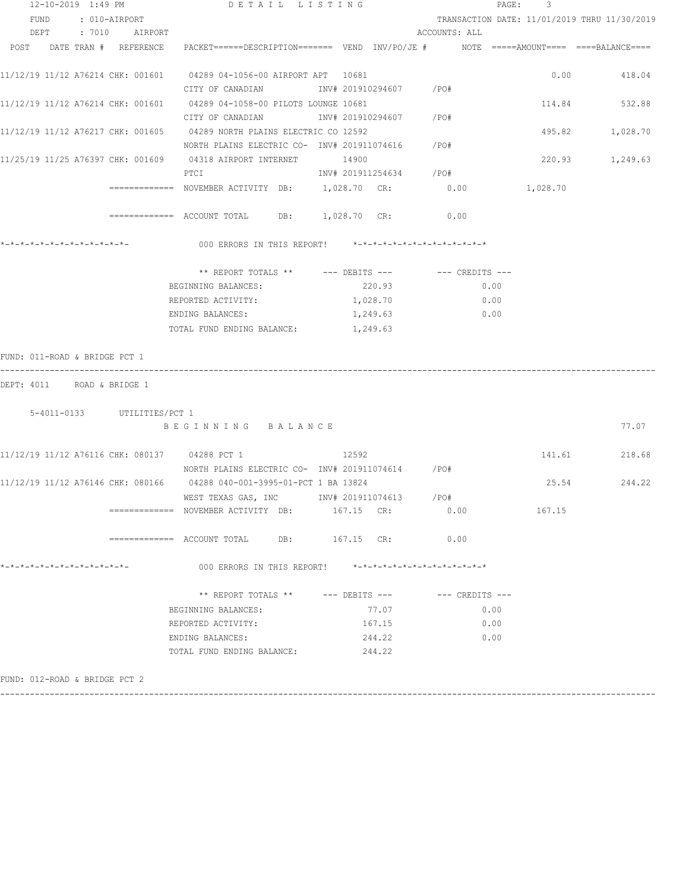| TRANSACTION DATE: 11/01/2019 THRU 11/30/2019                                            |
|-----------------------------------------------------------------------------------------|
|                                                                                         |
|                                                                                         |
| PACKET======DESCRIPTION======= VEND INV/PO/JE #    NOTE =====AMOUNT==== ====BALANCE==== |
| 0.00<br>418.04                                                                          |
|                                                                                         |
| 532.88<br>114.84                                                                        |
|                                                                                         |
| 495.82<br>1,028.70                                                                      |
|                                                                                         |
| 220.93<br>1,249.63                                                                      |
|                                                                                         |
| 1,028.70                                                                                |
|                                                                                         |
|                                                                                         |
|                                                                                         |
|                                                                                         |
|                                                                                         |
|                                                                                         |
|                                                                                         |
|                                                                                         |
|                                                                                         |
|                                                                                         |
| 77.07                                                                                   |
| 141.61<br>218.68                                                                        |
|                                                                                         |
| 25.54<br>244.22                                                                         |
|                                                                                         |
| 167.15                                                                                  |
|                                                                                         |
|                                                                                         |
|                                                                                         |
|                                                                                         |
|                                                                                         |
|                                                                                         |
|                                                                                         |

------------------------------------------------------------------------------------------------------------------------------------

FUND: 012-ROAD & BRIDGE PCT 2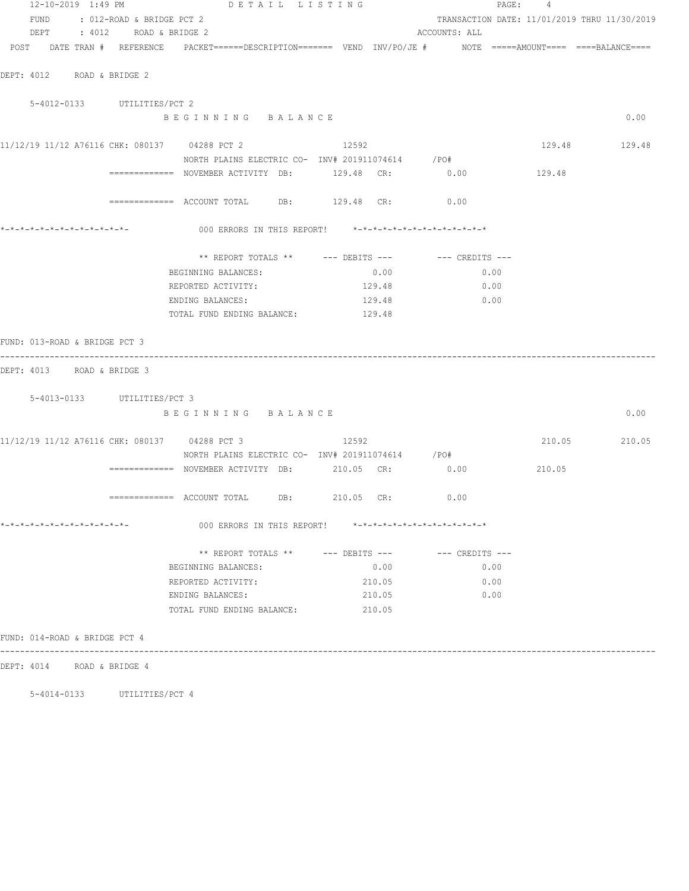| 12-10-2019 1:49 PM             |                             | DETAIL LISTING                                                                                                  |        |                                              | PAGE: 4 |               |
|--------------------------------|-----------------------------|-----------------------------------------------------------------------------------------------------------------|--------|----------------------------------------------|---------|---------------|
| FUND : 012-ROAD & BRIDGE PCT 2 |                             |                                                                                                                 |        | TRANSACTION DATE: 11/01/2019 THRU 11/30/2019 |         |               |
|                                | DEPT : 4012 ROAD & BRIDGE 2 |                                                                                                                 |        | ACCOUNTS: ALL                                |         |               |
|                                |                             | POST DATE TRAN # REFERENCE PACKET======DESCRIPTION======= VEND INV/PO/JE # NOTE =====AMOUNT==== ====BALANCE==== |        |                                              |         |               |
| DEPT: 4012 ROAD & BRIDGE 2     |                             |                                                                                                                 |        |                                              |         |               |
|                                |                             |                                                                                                                 |        |                                              |         |               |
|                                | 5-4012-0133 UTILITIES/PCT 2 |                                                                                                                 |        |                                              |         |               |
|                                |                             | BEGINNING BALANCE                                                                                               |        |                                              |         | 0.00          |
|                                |                             | 11/12/19 11/12 A76116 CHK: 080137 04288 PCT 2 12592                                                             |        |                                              |         | 129.48 129.48 |
|                                |                             | NORTH PLAINS ELECTRIC CO- INV# 201911074614 / PO#                                                               |        |                                              |         |               |
|                                |                             | ============= NOVEMBER ACTIVITY DB: $129.48$ CR: $0.00$ $129.48$                                                |        |                                              |         |               |
|                                |                             | ============ ACCOUNT TOTAL DB: 129.48 CR: 0.00                                                                  |        |                                              |         |               |
|                                |                             |                                                                                                                 |        |                                              |         |               |
|                                |                             | 000 ERRORS IN THIS REPORT! *-*-*-*-*-*-*-*-*-*-*-*-*-*-                                                         |        |                                              |         |               |
|                                |                             | ** REPORT TOTALS ** --- DEBITS --- -- -- CREDITS ---                                                            |        |                                              |         |               |
|                                |                             | BEGINNING BALANCES:                                                                                             | 0.00   | 0.00                                         |         |               |
|                                |                             | REPORTED ACTIVITY:                                                                                              | 129.48 | 0.00                                         |         |               |
|                                |                             | ENDING BALANCES:                                                                                                | 129.48 | 0.00                                         |         |               |
|                                |                             | TOTAL FUND ENDING BALANCE: 129.48                                                                               |        |                                              |         |               |
|                                |                             |                                                                                                                 |        |                                              |         |               |
| FUND: 013-ROAD & BRIDGE PCT 3  |                             |                                                                                                                 |        |                                              |         |               |
| DEPT: 4013 ROAD & BRIDGE 3     |                             |                                                                                                                 |        |                                              |         |               |
|                                |                             |                                                                                                                 |        |                                              |         |               |
|                                | 5-4013-0133 UTILITIES/PCT 3 |                                                                                                                 |        |                                              |         |               |
|                                |                             | BEGINNING BALANCE                                                                                               |        |                                              |         | 0.00          |
|                                |                             | 11/12/19 11/12 A76116 CHK: 080137 04288 PCT 3                                                                   | 12592  |                                              |         | 210.05 210.05 |
|                                |                             | NORTH PLAINS ELECTRIC CO- INV# 201911074614 / PO#                                                               |        |                                              |         |               |
|                                |                             | ============ NOVEMBER ACTIVITY DB: 210.05 CR: 0.00                                                              |        |                                              | 210.05  |               |
|                                |                             |                                                                                                                 |        |                                              |         |               |
|                                |                             | $\overline{\phantom{1}}$ ============= ACCOUNT TOTAL DB: 210.05 CR:                                             |        | 0.00                                         |         |               |
|                                |                             | 000 ERRORS IN THIS REPORT! *-*-*-*-*-*-*-*-*-*-*-*-*-*-                                                         |        |                                              |         |               |
|                                |                             | ** REPORT TOTALS ** --- DEBITS --- -- -- CREDITS ---                                                            |        |                                              |         |               |
|                                |                             | BEGINNING BALANCES:                                                                                             | 0.00   | 0.00                                         |         |               |
|                                |                             | REPORTED ACTIVITY:                                                                                              | 210.05 | 0.00                                         |         |               |
|                                |                             | ENDING BALANCES:                                                                                                | 210.05 | 0.00                                         |         |               |
|                                |                             | TOTAL FUND ENDING BALANCE:                                                                                      | 210.05 |                                              |         |               |
| FUND: 014-ROAD & BRIDGE PCT 4  |                             |                                                                                                                 |        |                                              |         |               |
|                                |                             |                                                                                                                 |        |                                              |         |               |
| DEPT: 4014 ROAD & BRIDGE 4     |                             |                                                                                                                 |        |                                              |         |               |

5-4014-0133 UTILITIES/PCT 4